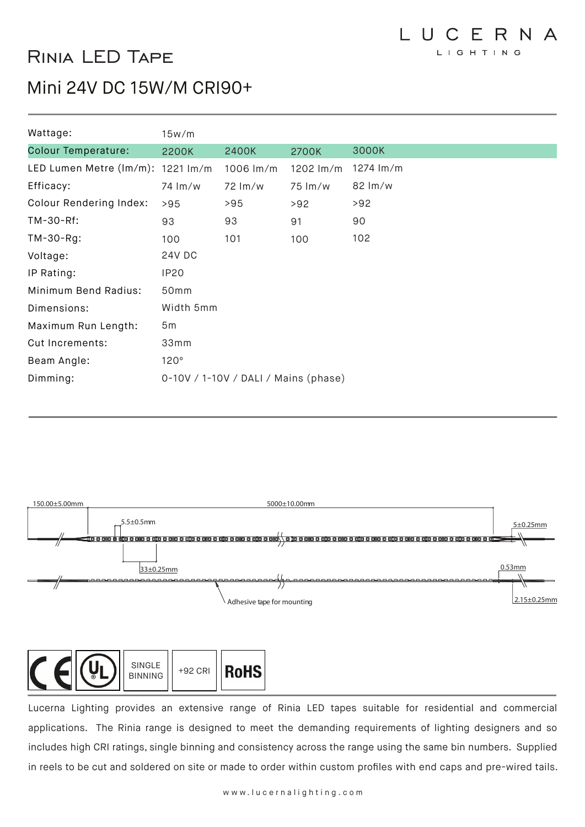# Rinia LED Tape

## Mini 24V DC 15W/M CRI90+

| Wattage:                          | 15w/m                                |             |           |                     |  |  |
|-----------------------------------|--------------------------------------|-------------|-----------|---------------------|--|--|
| <b>Colour Temperature:</b>        | 2200K                                | 2400K       | 2700K     | 3000K               |  |  |
| LED Lumen Metre (lm/m): 1221 lm/m |                                      | 1006 $Im/m$ | 1202 lm/m | 1274 lm/m           |  |  |
| Efficacy:                         | 74 lm/w                              | 72 Im/w     | 75 lm/w   | $82 \, \text{Im/w}$ |  |  |
| Colour Rendering Index:           | >95                                  | >95         | >92       | >92                 |  |  |
| TM-30-Rf:                         | 93                                   | 93          | 91        | 90                  |  |  |
| $TM-30-Rg$ :                      | 100                                  | 101         | 100       | 102                 |  |  |
| Voltage:                          | <b>24V DC</b>                        |             |           |                     |  |  |
| IP Rating:                        | <b>IP20</b>                          |             |           |                     |  |  |
| Minimum Bend Radius:              | 50 <sub>mm</sub>                     |             |           |                     |  |  |
| Dimensions:                       | Width 5mm                            |             |           |                     |  |  |
| Maximum Run Length:               | 5m                                   |             |           |                     |  |  |
| <b>Cut Increments:</b>            | 33mm                                 |             |           |                     |  |  |
| Beam Angle:                       | 120°                                 |             |           |                     |  |  |
| Dimming:                          | 0-10V / 1-10V / DALI / Mains (phase) |             |           |                     |  |  |





Lucerna Lighting provides an extensive range of Rinia LED tapes suitable for residential and commercial applications. The Rinia range is designed to meet the demanding requirements of lighting designers and so includes high CRI ratings, single binning and consistency across the range using the same bin numbers. Supplied in reels to be cut and soldered on site or made to order within custom profiles with end caps and pre-wired tails.